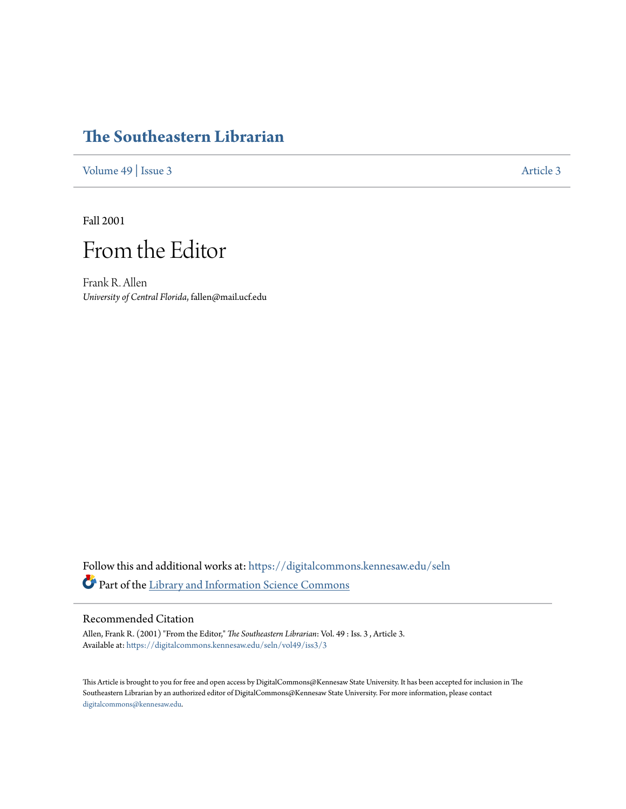## **[The Southeastern Librarian](https://digitalcommons.kennesaw.edu/seln?utm_source=digitalcommons.kennesaw.edu%2Fseln%2Fvol49%2Fiss3%2F3&utm_medium=PDF&utm_campaign=PDFCoverPages)**

[Volume 49](https://digitalcommons.kennesaw.edu/seln/vol49?utm_source=digitalcommons.kennesaw.edu%2Fseln%2Fvol49%2Fiss3%2F3&utm_medium=PDF&utm_campaign=PDFCoverPages) | [Issue 3](https://digitalcommons.kennesaw.edu/seln/vol49/iss3?utm_source=digitalcommons.kennesaw.edu%2Fseln%2Fvol49%2Fiss3%2F3&utm_medium=PDF&utm_campaign=PDFCoverPages) [Article 3](https://digitalcommons.kennesaw.edu/seln/vol49/iss3/3?utm_source=digitalcommons.kennesaw.edu%2Fseln%2Fvol49%2Fiss3%2F3&utm_medium=PDF&utm_campaign=PDFCoverPages)

Fall 2001

## From the Editor

Frank R. Allen *University of Central Florida*, fallen@mail.ucf.edu

Follow this and additional works at: [https://digitalcommons.kennesaw.edu/seln](https://digitalcommons.kennesaw.edu/seln?utm_source=digitalcommons.kennesaw.edu%2Fseln%2Fvol49%2Fiss3%2F3&utm_medium=PDF&utm_campaign=PDFCoverPages) Part of the [Library and Information Science Commons](http://network.bepress.com/hgg/discipline/1018?utm_source=digitalcommons.kennesaw.edu%2Fseln%2Fvol49%2Fiss3%2F3&utm_medium=PDF&utm_campaign=PDFCoverPages)

## Recommended Citation

Allen, Frank R. (2001) "From the Editor," *The Southeastern Librarian*: Vol. 49 : Iss. 3 , Article 3. Available at: [https://digitalcommons.kennesaw.edu/seln/vol49/iss3/3](https://digitalcommons.kennesaw.edu/seln/vol49/iss3/3?utm_source=digitalcommons.kennesaw.edu%2Fseln%2Fvol49%2Fiss3%2F3&utm_medium=PDF&utm_campaign=PDFCoverPages)

This Article is brought to you for free and open access by DigitalCommons@Kennesaw State University. It has been accepted for inclusion in The Southeastern Librarian by an authorized editor of DigitalCommons@Kennesaw State University. For more information, please contact [digitalcommons@kennesaw.edu.](mailto:digitalcommons@kennesaw.edu)